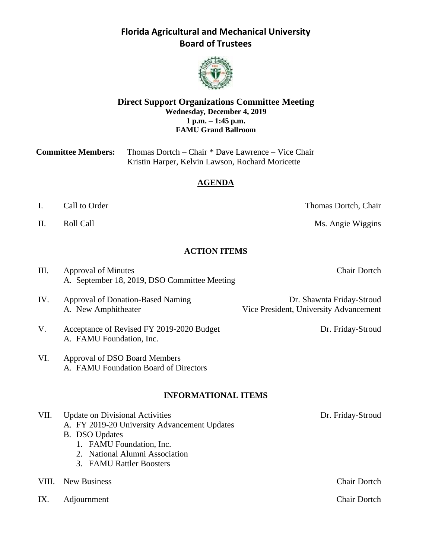

#### **Direct Support Organizations Committee Meeting Wednesday, December 4, 2019 1 p.m. – 1:45 p.m. FAMU Grand Ballroom**

| <b>Committee Members:</b> | Thomas Dortch – Chair * Dave Lawrence – Vice Chair |
|---------------------------|----------------------------------------------------|
|                           | Kristin Harper, Kelvin Lawson, Rochard Moricette   |

#### **AGENDA**

- I. Call to Order Thomas Dortch, Chair
- 

II. Roll Call **Call Call** Ms. Angie Wiggins

#### **ACTION ITEMS**

| III.  | Approval of Minutes                                                    | <b>Chair Dortch</b>                                                 |
|-------|------------------------------------------------------------------------|---------------------------------------------------------------------|
|       | A. September 18, 2019, DSO Committee Meeting                           |                                                                     |
| IV.   | <b>Approval of Donation-Based Naming</b><br>A. New Amphitheater        | Dr. Shawnta Friday-Stroud<br>Vice President, University Advancement |
| V.    | Acceptance of Revised FY 2019-2020 Budget<br>A. FAMU Foundation, Inc.  | Dr. Friday-Stroud                                                   |
| VI.   | Approval of DSO Board Members<br>A. FAMU Foundation Board of Directors |                                                                     |
|       | <b>INFORMATIONAL ITEMS</b>                                             |                                                                     |
| VII.  | <b>Update on Divisional Activities</b>                                 | Dr. Friday-Stroud                                                   |
|       | A. FY 2019-20 University Advancement Updates                           |                                                                     |
|       | <b>B.</b> DSO Updates                                                  |                                                                     |
|       | 1. FAMU Foundation, Inc.<br>2. National Alumni Association             |                                                                     |
|       | 3. FAMU Rattler Boosters                                               |                                                                     |
|       |                                                                        |                                                                     |
| VIII. | <b>New Business</b>                                                    | <b>Chair Dortch</b>                                                 |

IX. Adjournment Chair Dortch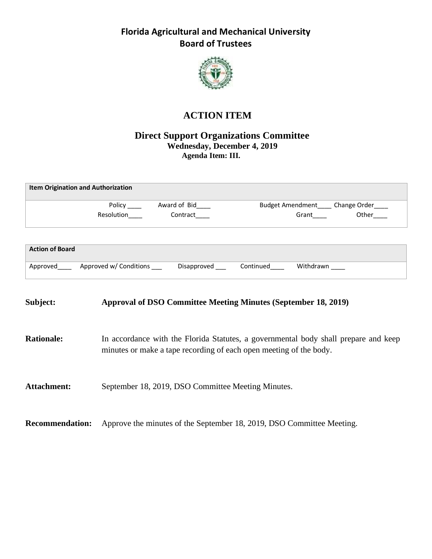

# **ACTION ITEM**

#### **Direct Support Organizations Committee Wednesday, December 4, 2019 Agenda Item: III.**

| <b>Item Origination and Authorization</b> |            |              |                                       |
|-------------------------------------------|------------|--------------|---------------------------------------|
|                                           | Policy     | Award of Bid | Budget Amendment____ Change Order____ |
|                                           | Resolution | Contract     | Other<br>Grant                        |
|                                           |            |              |                                       |
| <b>Action of Board</b>                    |            |              |                                       |

| Approved | Approved w/ Conditions | Disapproved | ∩ontinued | Withdrawn |
|----------|------------------------|-------------|-----------|-----------|

# **Subject: Approval of DSO Committee Meeting Minutes (September 18, 2019) Rationale:** In accordance with the Florida Statutes, a governmental body shall prepare and keep minutes or make a tape recording of each open meeting of the body. Attachment: September 18, 2019, DSO Committee Meeting Minutes.

**Recommendation:** Approve the minutes of the September 18, 2019, DSO Committee Meeting.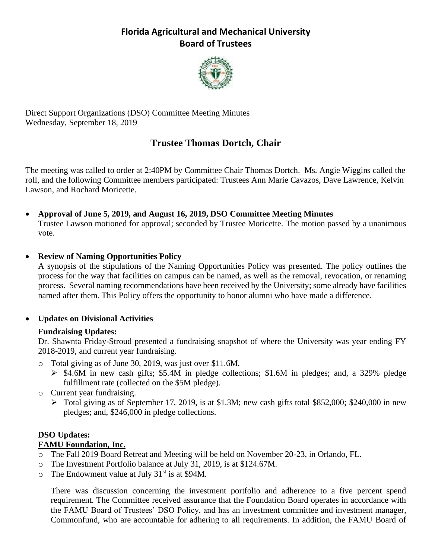

Direct Support Organizations (DSO) Committee Meeting Minutes Wednesday, September 18, 2019

# **Trustee Thomas Dortch, Chair**

The meeting was called to order at 2:40PM by Committee Chair Thomas Dortch. Ms. Angie Wiggins called the roll, and the following Committee members participated: Trustees Ann Marie Cavazos, Dave Lawrence, Kelvin Lawson, and Rochard Moricette.

• **Approval of June 5, 2019, and August 16, 2019, DSO Committee Meeting Minutes** Trustee Lawson motioned for approval; seconded by Trustee Moricette. The motion passed by a unanimous vote.

#### • **Review of Naming Opportunities Policy**

A synopsis of the stipulations of the Naming Opportunities Policy was presented. The policy outlines the process for the way that facilities on campus can be named, as well as the removal, revocation, or renaming process. Several naming recommendations have been received by the University; some already have facilities named after them. This Policy offers the opportunity to honor alumni who have made a difference.

#### • **Updates on Divisional Activities**

#### **Fundraising Updates:**

Dr. Shawnta Friday-Stroud presented a fundraising snapshot of where the University was year ending FY 2018-2019, and current year fundraising.

- o Total giving as of June 30, 2019, was just over \$11.6M.
	- ➢ \$4.6M in new cash gifts; \$5.4M in pledge collections; \$1.6M in pledges; and, a 329% pledge fulfillment rate (collected on the \$5M pledge).
- o Current year fundraising.
	- ➢ Total giving as of September 17, 2019, is at \$1.3M; new cash gifts total \$852,000; \$240,000 in new pledges; and, \$246,000 in pledge collections.

#### **DSO Updates:**

#### **FAMU Foundation, Inc.**

- o The Fall 2019 Board Retreat and Meeting will be held on November 20-23, in Orlando, FL.
- o The Investment Portfolio balance at July 31, 2019, is at \$124.67M.
- $\circ$  The Endowment value at July 31<sup>st</sup> is at \$94M.

There was discussion concerning the investment portfolio and adherence to a five percent spend requirement. The Committee received assurance that the Foundation Board operates in accordance with the FAMU Board of Trustees' DSO Policy, and has an investment committee and investment manager, Commonfund, who are accountable for adhering to all requirements. In addition, the FAMU Board of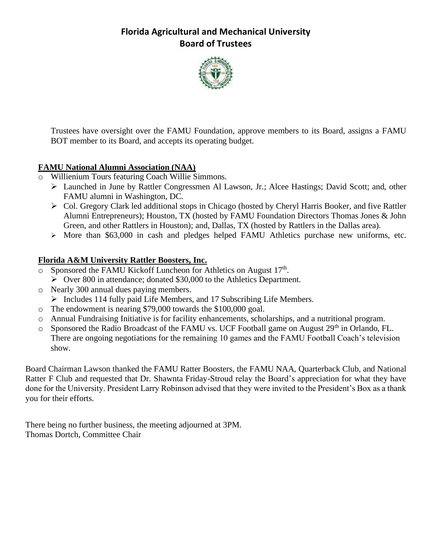

Trustees have oversight over the FAMU Foundation, approve members to its Board, assigns a FAMU BOT member to its Board, and accepts its operating budget.

#### **FAMU National Alumni Association (NAA)**

- o Willienium Tours featuring Coach Willie Simmons.
	- ➢ Launched in June by Rattler Congressmen Al Lawson, Jr.; Alcee Hastings; David Scott; and, other FAMU alumni in Washington, DC.
	- ➢ Col. Gregory Clark led additional stops in Chicago (hosted by Cheryl Harris Booker, and five Rattler Alumni Entrepreneurs); Houston, TX (hosted by FAMU Foundation Directors Thomas Jones & John Green, and other Rattlers in Houston); and, Dallas, TX (hosted by Rattlers in the Dallas area).
	- ➢ More than \$63,000 in cash and pledges helped FAMU Athletics purchase new uniforms, etc.

#### **Florida A&M University Rattler Boosters, Inc.**

- $\circ$  Sponsored the FAMU Kickoff Luncheon for Athletics on August 17<sup>th</sup>.
	- ➢ Over 800 in attendance; donated \$30,000 to the Athletics Department.
- o Nearly 300 annual dues paying members.
	- ➢ Includes 114 fully paid Life Members, and 17 Subscribing Life Members.
- o The endowment is nearing \$79,000 towards the \$100,000 goal.
- o Annual Fundraising Initiative is for facility enhancements, scholarships, and a nutritional program.
- $\circ$  Sponsored the Radio Broadcast of the FAMU vs. UCF Football game on August 29<sup>th</sup> in Orlando, FL. There are ongoing negotiations for the remaining 10 games and the FAMU Football Coach's television show.

Board Chairman Lawson thanked the FAMU Ratter Boosters, the FAMU NAA, Quarterback Club, and National Ratter F Club and requested that Dr. Shawnta Friday-Stroud relay the Board's appreciation for what they have done for the University. President Larry Robinson advised that they were invited to the President's Box as a thank you for their efforts.

There being no further business, the meeting adjourned at 3PM. Thomas Dortch, Committee Chair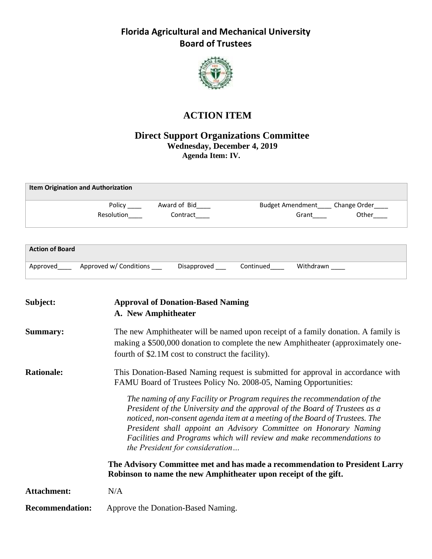

# **ACTION ITEM**

#### **Direct Support Organizations Committee Wednesday, December 4, 2019 Agenda Item: IV.**

| <b>Item Origination and Authorization</b> |                          |                                                        |
|-------------------------------------------|--------------------------|--------------------------------------------------------|
| Policy<br>Resolution                      | Award of Bid<br>Contract | Budget Amendment____ Change Order___<br>Other<br>Grant |
|                                           |                          |                                                        |

| <b>Action of Board</b> |                        |             |           |           |
|------------------------|------------------------|-------------|-----------|-----------|
| Approved               | Approved w/ Conditions | Disapproved | Continued | Withdrawn |

| Subject:               | <b>Approval of Donation-Based Naming</b><br>A. New Amphitheater                                                                                                                                                                                                                                                                                                                                                       |
|------------------------|-----------------------------------------------------------------------------------------------------------------------------------------------------------------------------------------------------------------------------------------------------------------------------------------------------------------------------------------------------------------------------------------------------------------------|
| <b>Summary:</b>        | The new Amphitheater will be named upon receipt of a family donation. A family is<br>making a \$500,000 donation to complete the new Amphitheater (approximately one-<br>fourth of \$2.1M cost to construct the facility).                                                                                                                                                                                            |
| <b>Rationale:</b>      | This Donation-Based Naming request is submitted for approval in accordance with<br>FAMU Board of Trustees Policy No. 2008-05, Naming Opportunities:                                                                                                                                                                                                                                                                   |
|                        | The naming of any Facility or Program requires the recommendation of the<br>President of the University and the approval of the Board of Trustees as a<br>noticed, non-consent agenda item at a meeting of the Board of Trustees. The<br>President shall appoint an Advisory Committee on Honorary Naming<br>Facilities and Programs which will review and make recommendations to<br>the President for consideration |
|                        | The Advisory Committee met and has made a recommendation to President Larry<br>Robinson to name the new Amphitheater upon receipt of the gift.                                                                                                                                                                                                                                                                        |
| Attachment:            | N/A                                                                                                                                                                                                                                                                                                                                                                                                                   |
| <b>Recommendation:</b> | Approve the Donation-Based Naming.                                                                                                                                                                                                                                                                                                                                                                                    |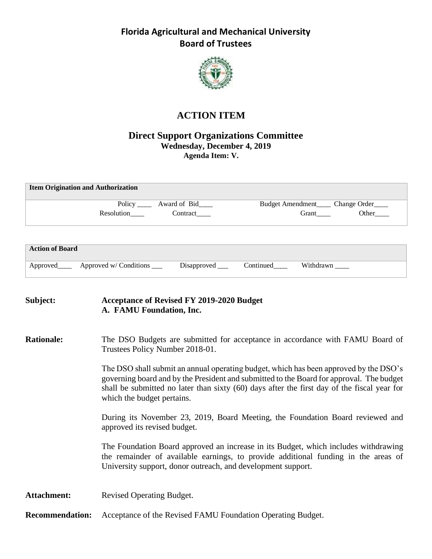

# **ACTION ITEM**

#### **Direct Support Organizations Committee Wednesday, December 4, 2019 Agenda Item: V.**

| <b>Item Origination and Authorization</b> |                                         |
|-------------------------------------------|-----------------------------------------|
| Policy ______ Award of Bid_____           | Budget Amendment<br><u>Change Order</u> |
| Contract<br>Resolution                    | Other<br>Grant                          |
|                                           |                                         |

| <b>Action of Board</b> |                        |             |           |           |
|------------------------|------------------------|-------------|-----------|-----------|
| Approved_              | Approved w/ Conditions | Disapproved | Continued | Withdrawn |

#### **Subject: Acceptance of Revised FY 2019-2020 Budget A. FAMU Foundation, Inc.**

#### **Rationale:** The DSO Budgets are submitted for acceptance in accordance with FAMU Board of Trustees Policy Number 2018-01.

The DSO shall submit an annual operating budget, which has been approved by the DSO's governing board and by the President and submitted to the Board for approval. The budget shall be submitted no later than sixty (60) days after the first day of the fiscal year for which the budget pertains.

During its November 23, 2019, Board Meeting, the Foundation Board reviewed and approved its revised budget.

The Foundation Board approved an increase in its Budget, which includes withdrawing the remainder of available earnings, to provide additional funding in the areas of University support, donor outreach, and development support.

Attachment: Revised Operating Budget.

**Recommendation:** Acceptance of the Revised FAMU Foundation Operating Budget.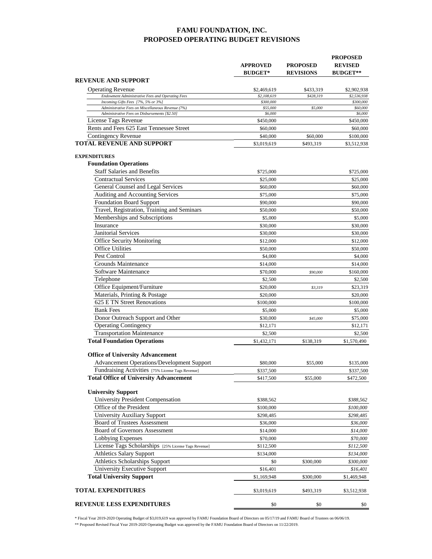#### **FAMU FOUNDATION, INC. PROPOSED OPERATING BUDGET REVISIONS**

|                                                                                         | <b>APPROVED</b><br><b>BUDGET*</b> | <b>PROPOSED</b><br><b>REVISIONS</b> | <b>PROPOSED</b><br><b>REVISED</b><br><b>BUDGET**</b> |
|-----------------------------------------------------------------------------------------|-----------------------------------|-------------------------------------|------------------------------------------------------|
| REVENUE AND SUPPORT                                                                     |                                   |                                     |                                                      |
| <b>Operating Revenue</b>                                                                | \$2,469,619                       | \$433,319                           | \$2,902,938                                          |
| Endowment Administrative Fees and Operating Fees                                        | \$2,108,619                       | \$428,319                           | \$2,536,938                                          |
| Incoming Gifts Fees [7%, 5% or 3%]<br>Administrative Fees on Miscellaneous Revenue (7%) | \$300,000<br>\$55,000             | \$5,000                             | \$300,000                                            |
| Administrative Fees on Disbursements [\$2.50]                                           | \$6,000                           |                                     | \$60,000<br>\$6,000                                  |
| License Tags Revenue                                                                    | \$450,000                         |                                     | \$450,000                                            |
| Rents and Fees 625 East Tennessee Street                                                | \$60,000                          |                                     | \$60,000                                             |
| Contingency Revenue                                                                     | \$40,000                          | \$60,000                            | \$100,000                                            |
| <b>TOTAL REVENUE AND SUPPORT</b>                                                        | \$3,019,619                       | \$493,319                           | \$3,512,938                                          |
| <b>EXPENDITURES</b>                                                                     |                                   |                                     |                                                      |
| <b>Foundation Operations</b>                                                            |                                   |                                     |                                                      |
| <b>Staff Salaries and Benefits</b>                                                      | \$725,000                         |                                     | \$725,000                                            |
| Contractual Services                                                                    | \$25,000                          |                                     | \$25,000                                             |
| General Counsel and Legal Services                                                      | \$60,000                          |                                     | \$60,000                                             |
| Auditing and Accounting Services                                                        | \$75,000                          |                                     | \$75,000                                             |
| <b>Foundation Board Support</b>                                                         | \$90,000                          |                                     | \$90,000                                             |
| Travel, Registration, Training and Seminars                                             | \$50,000                          |                                     | \$50,000                                             |
| Memberships and Subscriptions                                                           | \$5,000                           |                                     | \$5,000                                              |
| Insurance                                                                               | \$30,000                          |                                     | \$30,000                                             |
| <b>Janitorial Services</b>                                                              | \$30,000                          |                                     | \$30,000                                             |
| <b>Office Security Monitoring</b>                                                       | \$12,000                          |                                     | \$12,000                                             |
| <b>Office Utilities</b>                                                                 | \$50,000                          |                                     | \$50,000                                             |
| Pest Control                                                                            | \$4,000                           |                                     | \$4,000                                              |
| Grounds Maintenance                                                                     | \$14,000                          |                                     | \$14,000                                             |
| Software Maintenance                                                                    | \$70,000                          | \$90,000                            | \$160,000                                            |
| Telephone                                                                               | \$2,500                           |                                     | \$2,500                                              |
| Office Equipment/Furniture                                                              | \$20,000                          | \$3,319                             | \$23,319                                             |
| Materials, Printing & Postage                                                           | \$20,000                          |                                     | \$20,000                                             |
| 625 E TN Street Renovations                                                             | \$100,000                         |                                     | \$100,000                                            |
| <b>Bank Fees</b>                                                                        | \$5,000                           |                                     | \$5,000                                              |
| Donor Outreach Support and Other                                                        | \$30,000                          | \$45,000                            | \$75,000                                             |
| <b>Operating Contingency</b>                                                            | \$12.171                          |                                     | \$12,171                                             |
| <b>Transportation Maintenance</b>                                                       | \$2,500                           |                                     | \$2,500                                              |
| <b>Total Foundation Operations</b>                                                      | \$1,432,171                       | \$138,319                           | \$1,570,490                                          |
| <b>Office of University Advancement</b>                                                 |                                   |                                     |                                                      |
| <b>Advancement Operations/Development Support</b>                                       | \$80,000                          | \$55,000                            | \$135,000                                            |
| Fundraising Activities [75% License Tags Revenue]                                       | \$337,500                         |                                     | \$337,500                                            |
| <b>Total Office of University Advancement</b>                                           | \$417,500                         | \$55,000                            | \$472,500                                            |
| <b>University Support</b>                                                               |                                   |                                     |                                                      |
| <b>University President Compensation</b>                                                | \$388,562                         |                                     | \$388,562                                            |
| Office of the President                                                                 | \$100,000                         |                                     | \$100,000                                            |
| <b>University Auxiliary Support</b>                                                     | \$298,485                         |                                     | \$298,485                                            |
| <b>Board of Trustees Assessment</b>                                                     | \$36,000                          |                                     | \$36,000                                             |
| <b>Board of Governors Assessment</b>                                                    | \$14,000                          |                                     | \$14,000                                             |
| Lobbying Expenses                                                                       | \$70,000                          |                                     | \$70,000                                             |
| License Tags Scholarships [25% License Tags Revenue]                                    | \$112,500                         |                                     | \$112,500                                            |
| <b>Athletics Salary Support</b>                                                         | \$134,000                         |                                     | \$134,000                                            |
| Athletics Scholarships Support                                                          | \$0                               | \$300,000                           | \$300,000                                            |
| <b>University Executive Support</b>                                                     | \$16,401                          |                                     | \$16,401                                             |
| <b>Total University Support</b>                                                         | \$1,169,948                       | \$300,000                           | \$1,469,948                                          |
| <b>TOTAL EXPENDITURES</b>                                                               | \$3,019,619                       | \$493,319                           | \$3,512,938                                          |
| <b>REVENUE LESS EXPENDITURES</b>                                                        | \$0                               | \$0                                 | \$0                                                  |

\* Fiscal Year 2019-2020 Operating Budget of \$3,019,619 was approved by FAMU Foundation Board of Directors on 05/17/19 and FAMU Board of Trustees on 06/06/19. \*\* Proposed Revised Fiscal Year 2019-2020 Operating Budget was approved by the FAMU Foundation Board of Directors on 11/22/2019.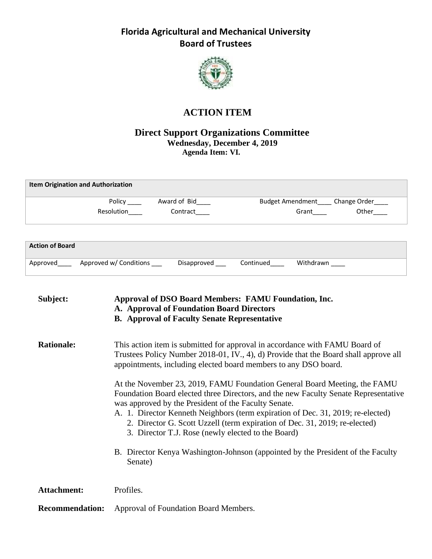

# **ACTION ITEM**

#### **Direct Support Organizations Committee Wednesday, December 4, 2019 Agenda Item: VI.**

| <b>Item Origination and Authorization</b> |            |              |                                       |       |
|-------------------------------------------|------------|--------------|---------------------------------------|-------|
|                                           | Policy     | Award of Bid | Budget Amendment____ Change Order____ |       |
|                                           | Resolution | Contract     | Grant                                 | Other |
|                                           |            |              |                                       |       |
| <b>Action of Board</b>                    |            |              |                                       |       |

| Approved Approved w/ Conditions | Disapproved | Continued |  |
|---------------------------------|-------------|-----------|--|
|                                 |             |           |  |

| Subject:               | Approval of DSO Board Members: FAMU Foundation, Inc.<br>A. Approval of Foundation Board Directors<br><b>B.</b> Approval of Faculty Senate Representative                                                                                                                                                                                                                                                                                        |
|------------------------|-------------------------------------------------------------------------------------------------------------------------------------------------------------------------------------------------------------------------------------------------------------------------------------------------------------------------------------------------------------------------------------------------------------------------------------------------|
| <b>Rationale:</b>      | This action item is submitted for approval in accordance with FAMU Board of<br>Trustees Policy Number 2018-01, IV., 4), d) Provide that the Board shall approve all<br>appointments, including elected board members to any DSO board.                                                                                                                                                                                                          |
|                        | At the November 23, 2019, FAMU Foundation General Board Meeting, the FAMU<br>Foundation Board elected three Directors, and the new Faculty Senate Representative<br>was approved by the President of the Faculty Senate.<br>A. 1. Director Kenneth Neighbors (term expiration of Dec. 31, 2019; re-elected)<br>2. Director G. Scott Uzzell (term expiration of Dec. 31, 2019; re-elected)<br>3. Director T.J. Rose (newly elected to the Board) |
|                        | B. Director Kenya Washington-Johnson (appointed by the President of the Faculty<br>Senate)                                                                                                                                                                                                                                                                                                                                                      |
| <b>Attachment:</b>     | Profiles.                                                                                                                                                                                                                                                                                                                                                                                                                                       |
| <b>Recommendation:</b> | Approval of Foundation Board Members.                                                                                                                                                                                                                                                                                                                                                                                                           |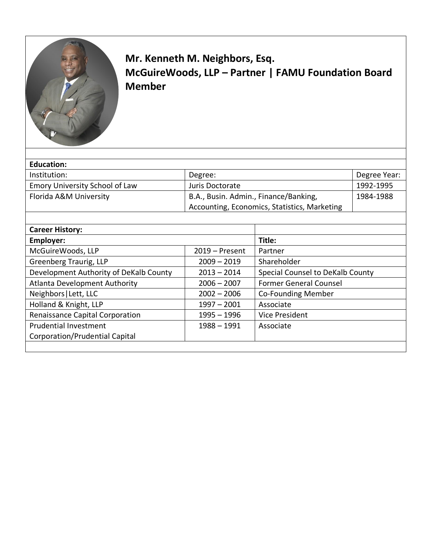

# **Mr. Kenneth M. Neighbors, Esq. McGuireWoods, LLP – Partner | FAMU Foundation Board Member**

| <b>Education:</b>                      |                                              |                                  |              |
|----------------------------------------|----------------------------------------------|----------------------------------|--------------|
| Institution:                           | Degree:                                      |                                  | Degree Year: |
| Emory University School of Law         | Juris Doctorate                              |                                  | 1992-1995    |
| Florida A&M University                 | B.A., Busin. Admin., Finance/Banking,        |                                  | 1984-1988    |
|                                        | Accounting, Economics, Statistics, Marketing |                                  |              |
|                                        |                                              |                                  |              |
| <b>Career History:</b>                 |                                              |                                  |              |
| Employer:                              |                                              | Title:                           |              |
| McGuireWoods, LLP                      | $2019 -$ Present                             | Partner                          |              |
| Greenberg Traurig, LLP                 | $2009 - 2019$                                | Shareholder                      |              |
| Development Authority of DeKalb County | $2013 - 2014$                                | Special Counsel to DeKalb County |              |
| Atlanta Development Authority          | $2006 - 2007$                                | <b>Former General Counsel</b>    |              |
| Neighbors   Lett, LLC                  | $2002 - 2006$                                | Co-Founding Member               |              |
| Holland & Knight, LLP                  | $1997 - 2001$                                | Associate                        |              |
| Renaissance Capital Corporation        | $1995 - 1996$                                | <b>Vice President</b>            |              |
| <b>Prudential Investment</b>           | $1988 - 1991$                                | Associate                        |              |
| Corporation/Prudential Capital         |                                              |                                  |              |
|                                        |                                              |                                  |              |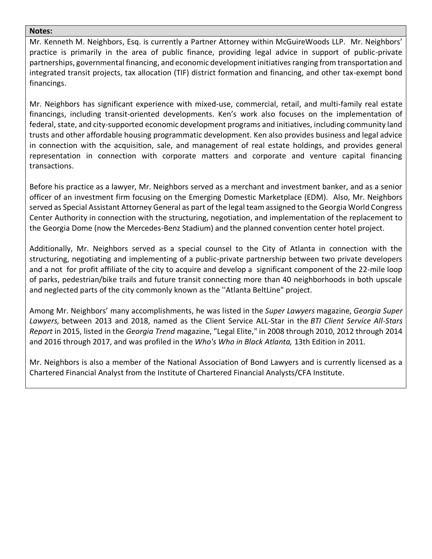#### **Notes:**

Mr. Kenneth M. Neighbors, Esq. is currently a Partner Attorney within McGuireWoods LLP. Mr. Neighbors' practice is primarily in the area of public finance, providing legal advice in support of public-private partnerships, governmental financing, and economic development initiatives ranging from transportation and integrated transit projects, tax allocation (TIF) district formation and financing, and other tax-exempt bond financings.

Mr. Neighbors has significant experience with mixed-use, commercial, retail, and multi-family real estate financings, including transit-oriented developments. Ken's work also focuses on the implementation of federal, state, and city-supported economic development programs and initiatives, including community land trusts and other affordable housing programmatic development. Ken also provides business and legal advice in connection with the acquisition, sale, and management of real estate holdings, and provides general representation in connection with corporate matters and corporate and venture capital financing transactions.

Before his practice as a lawyer, Mr. Neighbors served as a merchant and investment banker, and as a senior officer of an investment firm focusing on the Emerging Domestic Marketplace (EDM). Also, Mr. Neighbors served as Special Assistant Attorney General as part of the legal team assigned to the Georgia World Congress Center Authority in connection with the structuring, negotiation, and implementation of the replacement to the Georgia Dome (now the Mercedes-Benz Stadium) and the planned convention center hotel project.

Additionally, Mr. Neighbors served as a special counsel to the City of Atlanta in connection with the structuring, negotiating and implementing of a public-private partnership between two private developers and a not for profit affiliate of the city to acquire and develop a significant component of the 22-mile loop of parks, pedestrian/bike trails and future transit connecting more than 40 neighborhoods in both upscale and neglected parts of the city commonly known as the ''Atlanta BeltLine" project.

Among Mr. Neighbors' many accomplishments, he was listed in the *Super Lawyers* magazine, *Georgia Super Lawyers,* between 2013 and 2018, named as the Client Service ALL-Star in the *BTI Client Service All-Stars Report* in 2015, listed in the *Georgia Trend* magazine, "Legal Elite," in 2008 through 2010, 2012 through 2014 and 2016 through 2017, and was profiled in the *Who's Who in Black Atlanta,* 13th Edition in 2011.

Mr. Neighbors is also a member of the National Association of Bond Lawyers and is currently licensed as a Chartered Financial Analyst from the Institute of Chartered Financial Analysts/CFA Institute.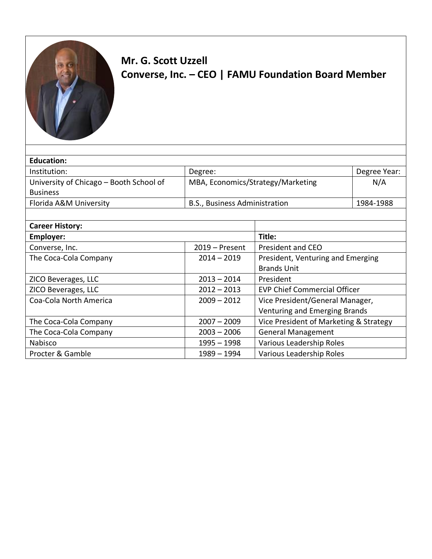

# **Mr. G. Scott Uzzell Converse, Inc. – CEO | FAMU Foundation Board Member**

| <b>Education:</b>                       |                                   |                                        |              |
|-----------------------------------------|-----------------------------------|----------------------------------------|--------------|
| Institution:                            | Degree:                           |                                        | Degree Year: |
| University of Chicago – Booth School of | MBA, Economics/Strategy/Marketing |                                        | N/A          |
| <b>Business</b>                         |                                   |                                        |              |
| Florida A&M University                  | B.S., Business Administration     |                                        | 1984-1988    |
|                                         |                                   |                                        |              |
| <b>Career History:</b>                  |                                   |                                        |              |
| Employer:                               | Title:                            |                                        |              |
| Converse, Inc.                          | $2019 -$ Present                  | <b>President and CEO</b>               |              |
| The Coca-Cola Company                   | $2014 - 2019$                     | President, Venturing and Emerging      |              |
|                                         |                                   | <b>Brands Unit</b>                     |              |
| ZICO Beverages, LLC                     | $2013 - 2014$                     | President                              |              |
| ZICO Beverages, LLC                     | $2012 - 2013$                     | <b>EVP Chief Commercial Officer</b>    |              |
| Coa-Cola North America                  | $2009 - 2012$                     | Vice President/General Manager,        |              |
|                                         |                                   | Venturing and Emerging Brands          |              |
| The Coca-Cola Company                   | $2007 - 2009$                     | Vice President of Marketing & Strategy |              |
| The Coca-Cola Company                   | $2003 - 2006$                     | <b>General Management</b>              |              |
| Nabisco                                 | $1995 - 1998$                     | Various Leadership Roles               |              |
| Procter & Gamble                        | 1989 - 1994                       | Various Leadership Roles               |              |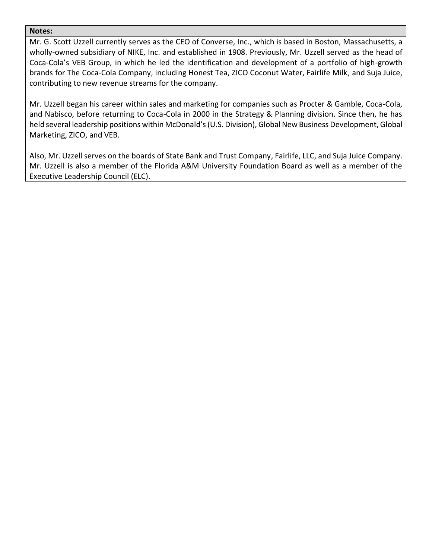#### **Notes:**

Mr. G. Scott Uzzell currently serves as the CEO of Converse, Inc., which is based in Boston, Massachusetts, a wholly-owned subsidiary of NIKE, Inc. and established in 1908. Previously, Mr. Uzzell served as the head of Coca-Cola's VEB Group, in which he led the identification and development of a portfolio of high-growth brands for The Coca-Cola Company, including Honest Tea, ZICO Coconut Water, Fairlife Milk, and Suja Juice, contributing to new revenue streams for the company.

Mr. Uzzell began his career within sales and marketing for companies such as Procter & Gamble, Coca-Cola, and Nabisco, before returning to Coca-Cola in 2000 in the Strategy & Planning division. Since then, he has held several leadership positions within McDonald's (U.S. Division), Global New Business Development, Global Marketing, ZICO, and VEB.

Also, Mr. Uzzell serves on the boards of State Bank and Trust Company, Fairlife, LLC, and Suja Juice Company. Mr. Uzzell is also a member of the Florida A&M University Foundation Board as well as a member of the Executive Leadership Council (ELC).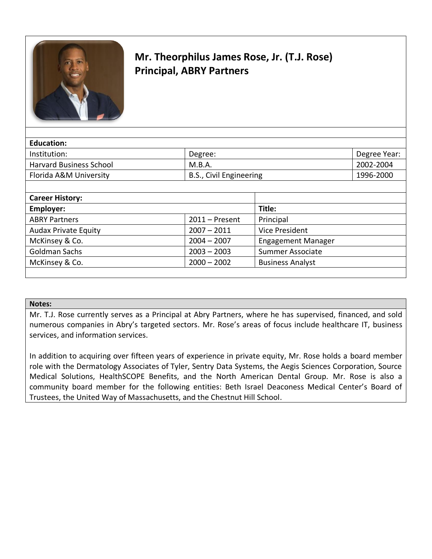

# **Mr. Theorphilus James Rose, Jr. (T.J. Rose) Principal, ABRY Partners**

| <b>Education:</b>              |                         |              |
|--------------------------------|-------------------------|--------------|
| Institution:                   | Degree:                 | Degree Year: |
| <b>Harvard Business School</b> | M.B.A.                  | 2002-2004    |
| Florida A&M University         | B.S., Civil Engineering | 1996-2000    |
|                                |                         |              |
| <b>Career History:</b>         |                         |              |

| <b>Career History:</b>      |                  |                           |
|-----------------------------|------------------|---------------------------|
| Employer:                   |                  | Title:                    |
| <b>ABRY Partners</b>        | $2011 -$ Present | Principal                 |
| <b>Audax Private Equity</b> | $2007 - 2011$    | Vice President            |
| McKinsey & Co.              | $2004 - 2007$    | <b>Engagement Manager</b> |
| Goldman Sachs               | $2003 - 2003$    | Summer Associate          |
| McKinsey & Co.              | $2000 - 2002$    | <b>Business Analyst</b>   |
|                             |                  |                           |

#### **Notes:**

Mr. T.J. Rose currently serves as a Principal at Abry Partners, where he has supervised, financed, and sold numerous companies in Abry's targeted sectors. Mr. Rose's areas of focus include healthcare IT, business services, and information services.

In addition to acquiring over fifteen years of experience in private equity, Mr. Rose holds a board member role with the Dermatology Associates of Tyler, Sentry Data Systems, the Aegis Sciences Corporation, Source Medical Solutions, HealthSCOPE Benefits, and the North American Dental Group. Mr. Rose is also a community board member for the following entities: Beth Israel Deaconess Medical Center's Board of Trustees, the United Way of Massachusetts, and the Chestnut Hill School.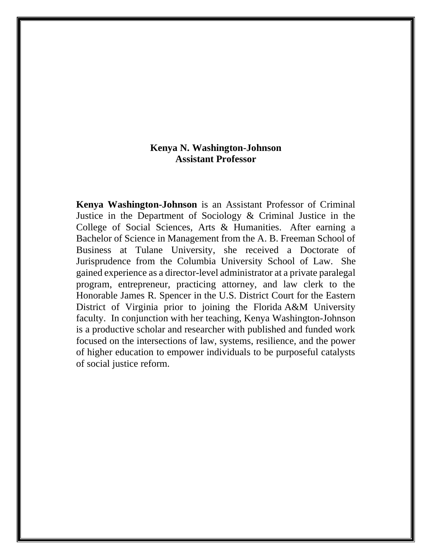#### **Kenya N. Washington-Johnson Assistant Professor**

**Kenya Washington-Johnson** is an Assistant Professor of Criminal Justice in the Department of Sociology & Criminal Justice in the College of Social Sciences, Arts & Humanities. After earning a Bachelor of Science in Management from the A. B. Freeman School of Business at Tulane University, she received a Doctorate of Jurisprudence from the Columbia University School of Law. She gained experience as a director-level administrator at a private paralegal program, entrepreneur, practicing attorney, and law clerk to the Honorable James R. Spencer in the U.S. District Court for the Eastern District of Virginia prior to joining the Florida A&M University faculty. In conjunction with her teaching, Kenya Washington-Johnson is a productive scholar and researcher with published and funded work focused on the intersections of law, systems, resilience, and the power of higher education to empower individuals to be purposeful catalysts of social justice reform.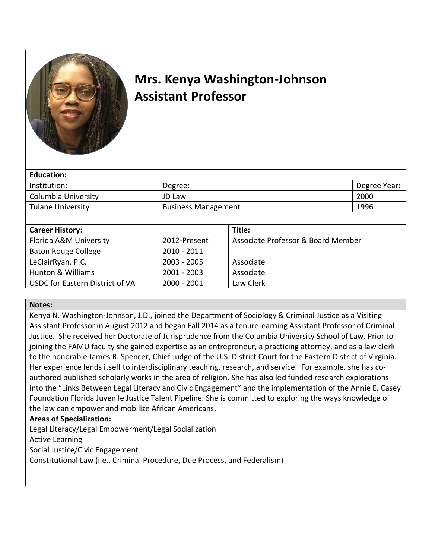

# **Mrs. Kenya Washington-Johnson Assistant Professor**

| Education:               |                            |                                    |              |
|--------------------------|----------------------------|------------------------------------|--------------|
| Institution:             | Degree:                    |                                    | Degree Year: |
| Columbia University      | JD Law                     |                                    | 2000         |
| <b>Tulane University</b> | <b>Business Management</b> |                                    | 1996         |
|                          |                            |                                    |              |
| <b>Career History:</b>   |                            | Title:                             |              |
| Florida A&M University   | 2012-Present               | Associate Professor & Board Member |              |
|                          |                            |                                    |              |

| <b>FIUTIUS AQIVE UTIIVEISILY</b> | ZUIZ-PIESEIIL | ASSOCIALE PTOTESSOL & BOATU MEITIDEL |
|----------------------------------|---------------|--------------------------------------|
| Baton Rouge College              | 2010 - 2011   |                                      |
| LeClairRyan, P.C.                | $2003 - 2005$ | Associate                            |
| Hunton & Williams                | $2001 - 2003$ | Associate                            |
| USDC for Eastern District of VA  | 2000 - 2001   | Law Clerk                            |

#### **Notes:**

Kenya N. Washington-Johnson, J.D., joined the Department of Sociology & Criminal Justice as a Visiting Assistant Professor in August 2012 and began Fall 2014 as a tenure-earning Assistant Professor of Criminal Justice. She received her Doctorate of Jurisprudence from the Columbia University School of Law. Prior to joining the FAMU faculty she gained expertise as an entrepreneur, a practicing attorney, and as a law clerk to the honorable James R. Spencer, Chief Judge of the U.S. District Court for the Eastern District of Virginia. Her experience lends itself to interdisciplinary teaching, research, and service. For example, she has coauthored published scholarly works in the area of religion. She has also led funded research explorations into the "Links Between Legal Literacy and Civic Engagement" and the implementation of the Annie E. Casey Foundation Florida Juvenile Justice Talent Pipeline. She is committed to exploring the ways knowledge of the law can empower and mobilize African Americans.

#### **Areas of Specialization:**

Legal Literacy/Legal Empowerment/Legal Socialization

Active Learning

Social Justice/Civic Engagement

Constitutional Law (i.e., Criminal Procedure, Due Process, and Federalism)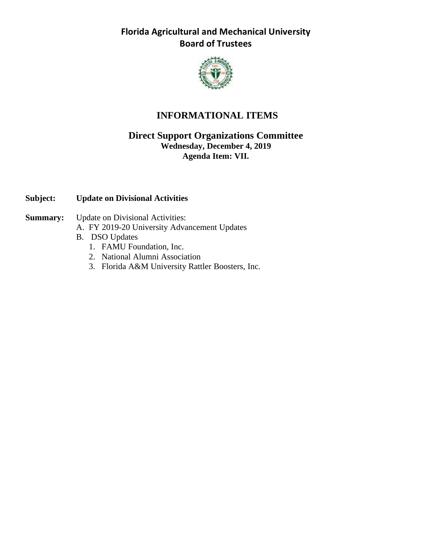

# **INFORMATIONAL ITEMS**

#### **Direct Support Organizations Committee Wednesday, December 4, 2019 Agenda Item: VII.**

#### **Subject: Update on Divisional Activities**

- **Summary:** Update on Divisional Activities:
	- A. FY 2019-20 University Advancement Updates
	- B. DSO Updates
		- 1. FAMU Foundation, Inc.
		- 2. National Alumni Association
		- 3. Florida A&M University Rattler Boosters, Inc.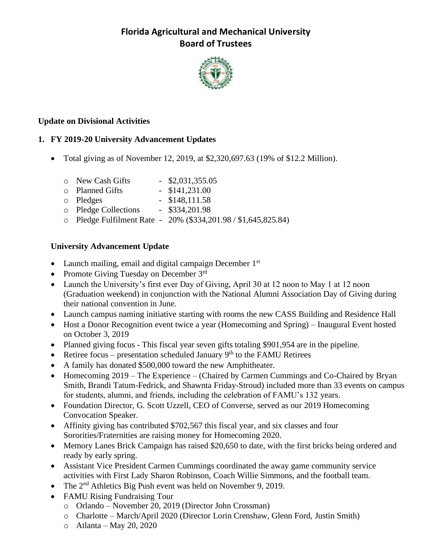

#### **Update on Divisional Activities**

#### **1. FY 2019-20 University Advancement Updates**

- Total giving as of November 12, 2019, at  $$2,320,697.63$  (19% of  $$12.2$  Million).
	- o New Cash Gifts \$2,031,355.05
	- o Planned Gifts \$141,231.00
	- o Pledges \$148,111.58
	- o Pledge Collections \$334,201.98
	- o Pledge Fulfilment Rate 20% (\$334,201.98 / \$1,645,825.84)

#### **University Advancement Update**

- Launch mailing, email and digital campaign December  $1<sup>st</sup>$
- Promote Giving Tuesday on December 3rd
- Launch the University's first ever Day of Giving, April 30 at 12 noon to May 1 at 12 noon (Graduation weekend) in conjunction with the National Alumni Association Day of Giving during their national convention in June.
- Launch campus naming initiative starting with rooms the new CASS Building and Residence Hall
- Host a Donor Recognition event twice a year (Homecoming and Spring) Inaugural Event hosted on October 3, 2019
- Planned giving focus This fiscal year seven gifts totaling \$901,954 are in the pipeline.
- Retiree focus presentation scheduled January  $9<sup>th</sup>$  to the FAMU Retirees
- A family has donated \$500,000 toward the new Amphitheater.
- Homecoming 2019 The Experience (Chaired by Carmen Cummings and Co-Chaired by Bryan Smith, Brandi Tatum-Fedrick, and Shawnta Friday-Stroud) included more than 33 events on campus for students, alumni, and friends, including the celebration of FAMU's 132 years.
- Foundation Director, G. Scott Uzzell, CEO of Converse, served as our 2019 Homecoming Convocation Speaker.
- Affinity giving has contributed \$702,567 this fiscal year, and six classes and four Sororities/Fraternities are raising money for Homecoming 2020.
- Memory Lanes Brick Campaign has raised \$20,650 to date, with the first bricks being ordered and ready by early spring.
- Assistant Vice President Carmen Cummings coordinated the away game community service activities with First Lady Sharon Robinson, Coach Willie Simmons, and the football team.
- The  $2<sup>nd</sup>$  Athletics Big Push event was held on November 9, 2019.
- FAMU Rising Fundraising Tour
	- o Orlando November 20, 2019 (Director John Crossman)
	- o Charlotte March/April 2020 (Director Lorin Crenshaw, Glenn Ford, Justin Smith)
	- $\circ$  Atlanta May 20, 2020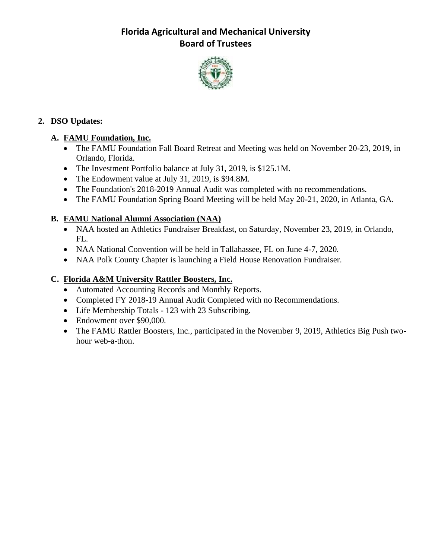

### **2. DSO Updates:**

## **A. FAMU Foundation, Inc.**

- The FAMU Foundation Fall Board Retreat and Meeting was held on November 20-23, 2019, in Orlando, Florida.
- The Investment Portfolio balance at July 31, 2019, is \$125.1M.
- The Endowment value at July 31, 2019, is \$94.8M.
- The Foundation's 2018-2019 Annual Audit was completed with no recommendations.
- The FAMU Foundation Spring Board Meeting will be held May 20-21, 2020, in Atlanta, GA.

# **B. FAMU National Alumni Association (NAA)**

- NAA hosted an Athletics Fundraiser Breakfast, on Saturday, November 23, 2019, in Orlando, FL.
- NAA National Convention will be held in Tallahassee, FL on June 4-7, 2020.
- NAA Polk County Chapter is launching a Field House Renovation Fundraiser.

# **C. Florida A&M University Rattler Boosters, Inc.**

- Automated Accounting Records and Monthly Reports.
- Completed FY 2018-19 Annual Audit Completed with no Recommendations.
- Life Membership Totals 123 with 23 Subscribing.
- Endowment over \$90,000.
- The FAMU Rattler Boosters, Inc., participated in the November 9, 2019, Athletics Big Push twohour web-a-thon.